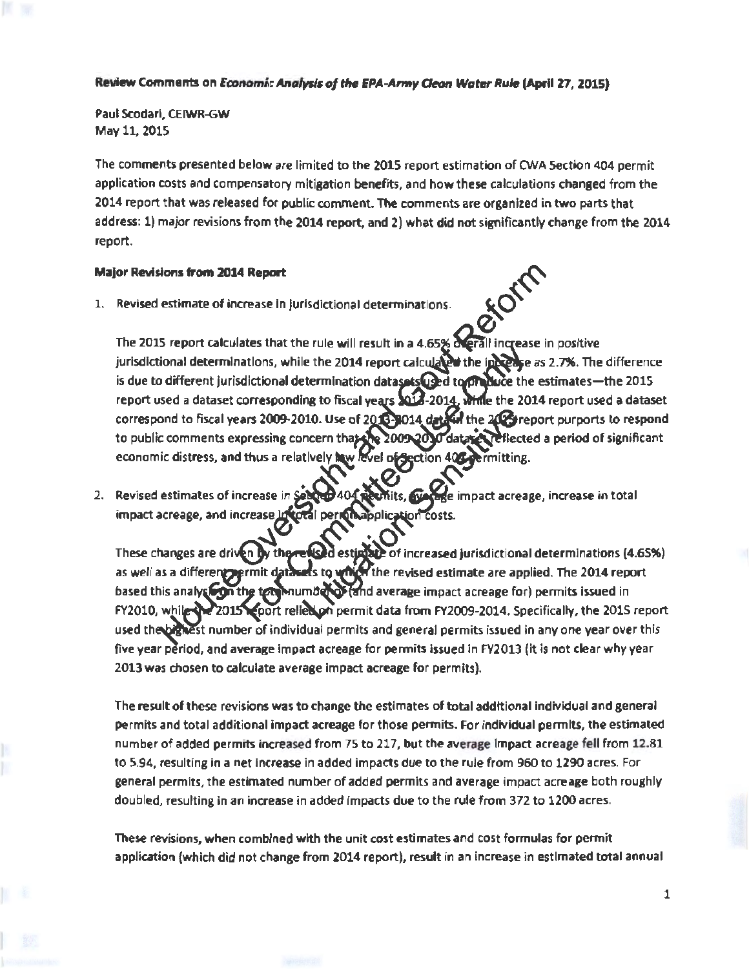## Review Comments on *Economic Analysis of the EPA-Army Cleon Water Rule* (April 27, 2015)

Paul Scodarl, CEIWR-GW May 11, 2015

The comments presented below are limited to the 2015 report estimation of CWA Section 404 permit application costs and compensatory mitigation benefits, and how these calculations changed from the 2014 report that was released for public comment. The comments are organized in two parts that address: 1) major revisions from the 2014 report, and 2) what did not significantly change from the 2014 report.

## Major Revisions from 2014 Report ~

1. Revised estimate of increase in Jurisdictional determinations.

The 2015 report calculates that the rule will result in a 4.65% derall increase in positive jurisdictional determinations, while the 2014 report calculated the incesse as 2.7%. The difference is due to different jurisdictional determination datasets  $Q$  to to the duce the estimates-the 2015 report used a dataset corresponding to fiscal years 2014-2014, While the 2014 report used a dataset correspond to fiscal years 2009-2010. Use of 2013-1014 data in the 2023 report purports to respond to public comments expressing concern that the 2009 2010 data relieflected a period of significant economic distress, and thus a relatively haw level of Section 405 cermitting.

2. Revised estimates of increase in Sender 404 aboutis, evening e impact acreage, increase in total impact acreage, and increase

ase *in* coral per minapplicare These changes are driven by the relised estimate of increased jurisdictional determinations (4.65%) as well as a different permit datasets to which the revised estimate are applied. The 2014 report based this analysion the tem mumber of and average impact acreage for) permits issued in FY2010, while the 2015 report relies on permit data from FY2009-2014. Specifically, the 2015 report used the bignest number of individual permits and general permits issued in any one year over this five year period, and average impact acreage for permits issued in FY2013 (it is not clear why year 2013 was chosen to calculate average impact acreage for permits).

The result of these revisions was to change the estimates of total additional Individual and general permits and total additional impact acreage for those permits. For individual permits, the estimated number of added permits increased from 75 to 217, but the average Impact acreage fell from 12.81 to 5.94, resulting in a net Increase in added impacts due to the rule from 960 to 1290 acres. For general permits, the estimated number of added permits and average impact acreage both roughly doubled, resulting in an increase in added impacts due to the rule from 372 to 1200 acres.

These revisions, when combined with the unit cost estimates and cost formulas for permit application (which did not change from 2014 report), result in an increase in estimated total annual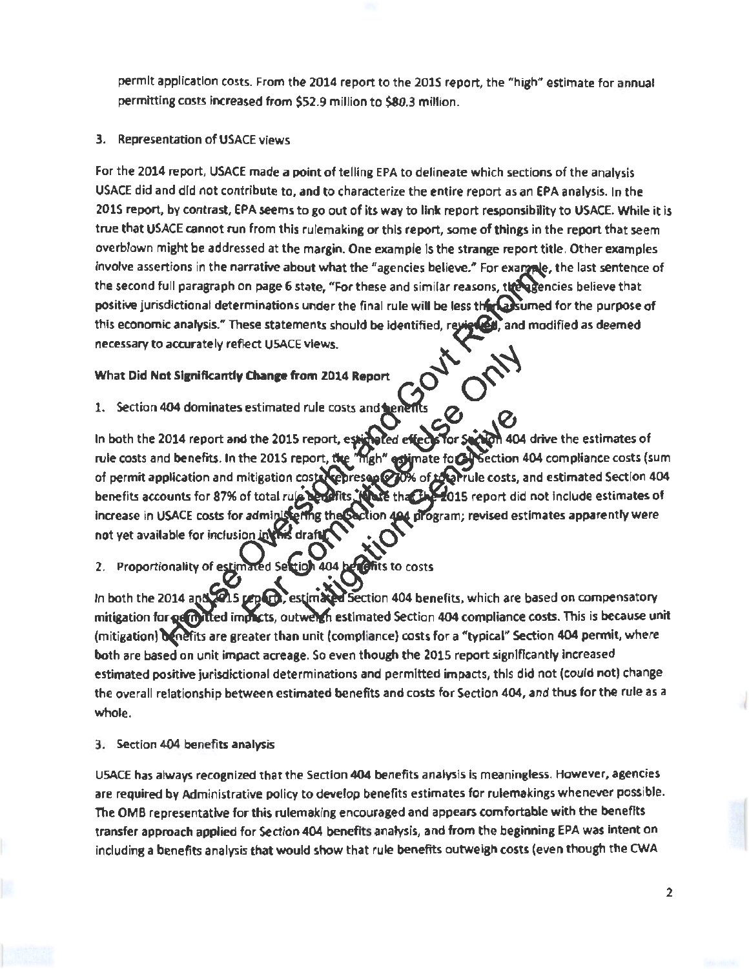permit application costs. From the 2014 report to the 2015 report, the "high" estimate for annual permitting costs increased from \$52.9 million to \$80.3 million.

## 3. Representation of USACE views

For the 2014 report, USACE made a point of telling EPA to delineate which sections of the analysis USACE did and did not contribute to, and to characterize the entire report as an EPA analysis. In the 2015 report, by contrast, EPA seems to go out of its way to link report responsibility to USACE. While it is true that USACE cannot run from this rulemaking or this report, some of things in the report that seem overblown might be addressed at the margin. One example Is the strange report title. Other examples involve assertions in the narrative about what the "agencies believe." For example, the last sentence of the second full paragraph on page 6 state, "For these and similar reasons, the agencies believe that positive jurisdictional determinations under the final rule will be less the castimed for the purpose of this economic analysis." These statements should be identified, reviewed, and modified as deemed this economic analysis." These statements should be identified, rea necessary to accurately reflect USACE views.

## What Did Not Significantly Change from 2014 Report

1. Section 404 dominates estimated rule costs and henerits<br>In both the 2014 report and the 2015 report, estimated effects for Sachion 404 drive the estimates of In both the 2014 report and the 2015 report, estimated effects for Section 404 drive the estimates of<br>rule costs and benefits. In the 2015 report, the "high" estimate for Section 404 compliance costs (sum rule costs and benefits. In the 2015 report, the of permit application and mitigation costs represented to the river rule costs, and estimated Section 404<br>benefits accounts for 87% of total rule benefits. While the 2015 report did not include estimates of fo15 report did not include estimates of increase in USACE costs for administering the Section 404 program; revised estimates apparently were not yet available for inclusion in this dra

2. Proportionality of estimated Section 404 benefits to costs

In both the 2014 and 2015 report, estimated Section 404 benefits, which are based on compensatory mitigation for permitted immets, outweren estimated Section 404 compliance costs. This is because unit (mitigation) denetits are greater than unit (compliance) costs for a "typical" Section 404 permit, where both are based on unit impact acreage. So even though the 2015 report signlflcantly increased estimated positive jurisdictional determinations and permitted impacts, this did not (could not) change the overall relationship between estimated benefits and costs for Section 404, and thus for the rule as a whole.

3. Section 404 benefits analysis

USACE has always recognized that the Section 404 benefits analysis Is meaningless. However, agencies are required by Administrative policy to develop benefits estimates for rulemakings whenever possible. The OMB representative for this rulemaking encouraged and appears comfortable with the benefits transfer approach applied for Section 404 benefits analysis, and from the beginning EPA was Intent on including a benefits analysis that would show that rule benefits outweigh costs (even though the CWA